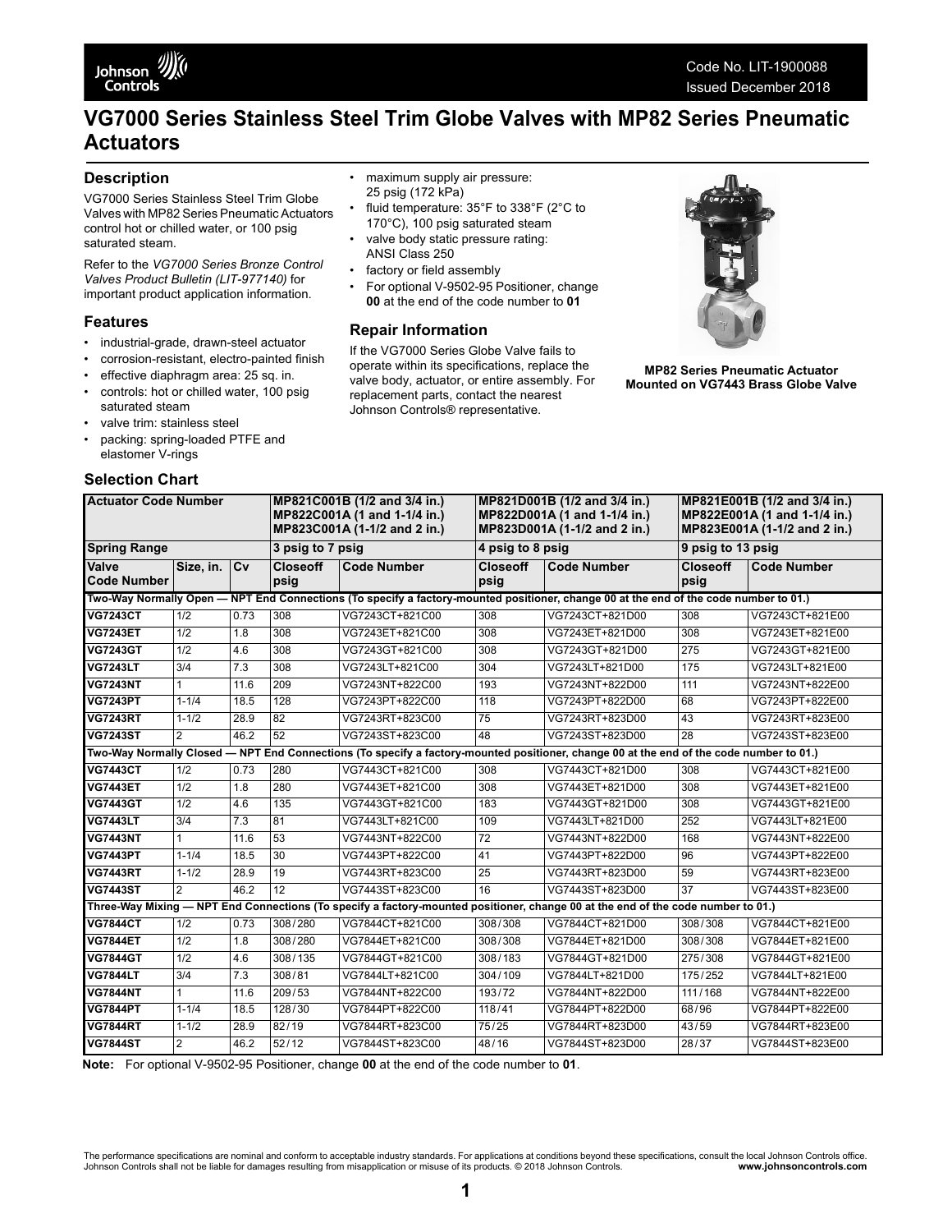# **VG7000 Series Stainless Steel Trim Globe Valves with MP82 Series Pneumatic Actuators**

### **Description**

VG7000 Series Stainless Steel Trim Globe Valves with MP82 Series Pneumatic Actuators control hot or chilled water, or 100 psig saturated steam.

Refer to the *VG7000 Series Bronze Control Valves Product Bulletin (LIT-977140)* for important product application information.

#### **Features**

- industrial-grade, drawn-steel actuator
- corrosion-resistant, electro-painted finish
- effective diaphragm area: 25 sq. in.
- controls: hot or chilled water, 100 psig saturated steam
- valve trim: stainless steel
- packing: spring-loaded PTFE and elastomer V-rings

#### **Selection Chart**

- maximum supply air pressure: 25 psig (172 kPa)
- fluid temperature: 35°F to 338°F (2°C to 170°C), 100 psig saturated steam
- valve body static pressure rating: ANSI Class 250
- factory or field assembly
- For optional V-9502-95 Positioner, change **00** at the end of the code number to **01**

## **Repair Information**

If the VG7000 Series Globe Valve fails to operate within its specifications, replace the valve body, actuator, or entire assembly. For replacement parts, contact the nearest Johnson Controls® representative.



**MP82 Series Pneumatic Actuator Mounted on VG7443 Brass Globe Valve**

| <b>Actuator Code Number</b>                                                                                                             |                |              | MP821C001B (1/2 and 3/4 in.)<br>MP822C001A (1 and 1-1/4 in.)<br>MP823C001A (1-1/2 and 2 in.) |                    | MP821D001B (1/2 and 3/4 in.)<br>MP822D001A (1 and 1-1/4 in.)<br>MP823D001A (1-1/2 and 2 in.) |                 | MP821E001B (1/2 and 3/4 in.)<br>MP822E001A (1 and 1-1/4 in.)<br>MP823E001A (1-1/2 and 2 in.) |                    |  |
|-----------------------------------------------------------------------------------------------------------------------------------------|----------------|--------------|----------------------------------------------------------------------------------------------|--------------------|----------------------------------------------------------------------------------------------|-----------------|----------------------------------------------------------------------------------------------|--------------------|--|
| <b>Spring Range</b>                                                                                                                     |                |              | 3 psig to 7 psig                                                                             |                    | 4 psig to 8 psig                                                                             |                 | 9 psig to 13 psig                                                                            |                    |  |
| Valve<br><b>Code Number</b>                                                                                                             | Size, in.      | <sub>C</sub> | <b>Closeoff</b><br>psig                                                                      | <b>Code Number</b> | <b>Closeoff</b><br>psig                                                                      | Code Number     | <b>Closeoff</b><br>psig                                                                      | <b>Code Number</b> |  |
| Two-Way Normally Open — NPT End Connections (To specify a factory-mounted positioner, change 00 at the end of the code number to 01.)   |                |              |                                                                                              |                    |                                                                                              |                 |                                                                                              |                    |  |
| <b>VG7243CT</b>                                                                                                                         | 1/2            | 0.73         | 308                                                                                          | VG7243CT+821C00    | 308                                                                                          | VG7243CT+821D00 | 308                                                                                          | VG7243CT+821E00    |  |
| <b>VG7243ET</b>                                                                                                                         | 1/2            | 1.8          | 308                                                                                          | VG7243ET+821C00    | 308                                                                                          | VG7243ET+821D00 | 308                                                                                          | VG7243ET+821E00    |  |
| <b>VG7243GT</b>                                                                                                                         | 1/2            | 4.6          | 308                                                                                          | VG7243GT+821C00    | 308                                                                                          | VG7243GT+821D00 | 275                                                                                          | VG7243GT+821E00    |  |
| <b>VG7243LT</b>                                                                                                                         | 3/4            | 7.3          | 308                                                                                          | VG7243LT+821C00    | 304                                                                                          | VG7243LT+821D00 | 175                                                                                          | VG7243LT+821E00    |  |
| <b>VG7243NT</b>                                                                                                                         | $\mathbf{1}$   | 11.6         | 209                                                                                          | VG7243NT+822C00    | 193                                                                                          | VG7243NT+822D00 | 111                                                                                          | VG7243NT+822E00    |  |
| <b>VG7243PT</b>                                                                                                                         | $1 - 1/4$      | 18.5         | 128                                                                                          | VG7243PT+822C00    | 118                                                                                          | VG7243PT+822D00 | 68                                                                                           | VG7243PT+822E00    |  |
| <b>VG7243RT</b>                                                                                                                         | $1 - 1/2$      | 28.9         | 82                                                                                           | VG7243RT+823C00    | 75                                                                                           | VG7243RT+823D00 | 43                                                                                           | VG7243RT+823E00    |  |
| <b>VG7243ST</b>                                                                                                                         | 2              | 46.2         | 52                                                                                           | VG7243ST+823C00    | 48                                                                                           | VG7243ST+823D00 | $\overline{28}$                                                                              | VG7243ST+823E00    |  |
| Two-Way Normally Closed — NPT End Connections (To specify a factory-mounted positioner, change 00 at the end of the code number to 01.) |                |              |                                                                                              |                    |                                                                                              |                 |                                                                                              |                    |  |
| <b>VG7443CT</b>                                                                                                                         | 1/2            | 0.73         | 280                                                                                          | VG7443CT+821C00    | 308                                                                                          | VG7443CT+821D00 | 308                                                                                          | VG7443CT+821E00    |  |
| <b>VG7443ET</b>                                                                                                                         | 1/2            | 1.8          | 280                                                                                          | VG7443ET+821C00    | 308                                                                                          | VG7443ET+821D00 | 308                                                                                          | VG7443ET+821E00    |  |
| <b>VG7443GT</b>                                                                                                                         | 1/2            | 4.6          | 135                                                                                          | VG7443GT+821C00    | 183                                                                                          | VG7443GT+821D00 | 308                                                                                          | VG7443GT+821E00    |  |
| <b>VG7443LT</b>                                                                                                                         | 3/4            | 7.3          | 81                                                                                           | VG7443LT+821C00    | 109                                                                                          | VG7443LT+821D00 | 252                                                                                          | VG7443LT+821E00    |  |
| <b>VG7443NT</b>                                                                                                                         | $\mathbf{1}$   | 11.6         | 53                                                                                           | VG7443NT+822C00    | 72                                                                                           | VG7443NT+822D00 | 168                                                                                          | VG7443NT+822E00    |  |
| <b>VG7443PT</b>                                                                                                                         | $1 - 1/4$      | 18.5         | 30                                                                                           | VG7443PT+822C00    | 41                                                                                           | VG7443PT+822D00 | 96                                                                                           | VG7443PT+822E00    |  |
| <b>VG7443RT</b>                                                                                                                         | $1 - 1/2$      | 28.9         | 19                                                                                           | VG7443RT+823C00    | 25                                                                                           | VG7443RT+823D00 | 59                                                                                           | VG7443RT+823E00    |  |
| <b>VG7443ST</b>                                                                                                                         | 2              | 46.2         | 12                                                                                           | VG7443ST+823C00    | 16                                                                                           | VG7443ST+823D00 | 37                                                                                           | VG7443ST+823E00    |  |
| Three-Way Mixing — NPT End Connections (To specify a factory-mounted positioner, change 00 at the end of the code number to 01.)        |                |              |                                                                                              |                    |                                                                                              |                 |                                                                                              |                    |  |
| <b>VG7844CT</b>                                                                                                                         | 1/2            | 0.73         | 308/280                                                                                      | VG7844CT+821C00    | 308/308                                                                                      | VG7844CT+821D00 | 308/308                                                                                      | VG7844CT+821E00    |  |
| <b>VG7844ET</b>                                                                                                                         | 1/2            | 1.8          | 308/280                                                                                      | VG7844ET+821C00    | 308/308                                                                                      | VG7844ET+821D00 | 308/308                                                                                      | VG7844ET+821E00    |  |
| <b>VG7844GT</b>                                                                                                                         | 1/2            | 4.6          | 308/135                                                                                      | VG7844GT+821C00    | 308/183                                                                                      | VG7844GT+821D00 | 275/308                                                                                      | VG7844GT+821E00    |  |
| <b>VG7844LT</b>                                                                                                                         | 3/4            | 7.3          | 308/81                                                                                       | VG7844LT+821C00    | 304/109                                                                                      | VG7844LT+821D00 | 175/252                                                                                      | VG7844LT+821E00    |  |
| <b>VG7844NT</b>                                                                                                                         | $\mathbf{1}$   | 11.6         | 209/53                                                                                       | VG7844NT+822C00    | 193/72                                                                                       | VG7844NT+822D00 | 111/168                                                                                      | VG7844NT+822E00    |  |
| <b>VG7844PT</b>                                                                                                                         | $1 - 1/4$      | 18.5         | 128/30                                                                                       | VG7844PT+822C00    | 118/41                                                                                       | VG7844PT+822D00 | 68/96                                                                                        | VG7844PT+822E00    |  |
| <b>VG7844RT</b>                                                                                                                         | $1 - 1/2$      | 28.9         | 82/19                                                                                        | VG7844RT+823C00    | 75/25                                                                                        | VG7844RT+823D00 | 43/59                                                                                        | VG7844RT+823E00    |  |
| <b>VG7844ST</b>                                                                                                                         | $\overline{2}$ | 46.2         | 52/12                                                                                        | VG7844ST+823C00    | 48/16                                                                                        | VG7844ST+823D00 | 28/37                                                                                        | VG7844ST+823E00    |  |

**Note:** For optional V-9502-95 Positioner, change **00** at the end of the code number to **01**.

The performance specifications are nominal and conform to acceptable industry standards. For applications at conditions beyond these specifications, consult the local Johnson Controls office.<br>Johnson Controls shall not be